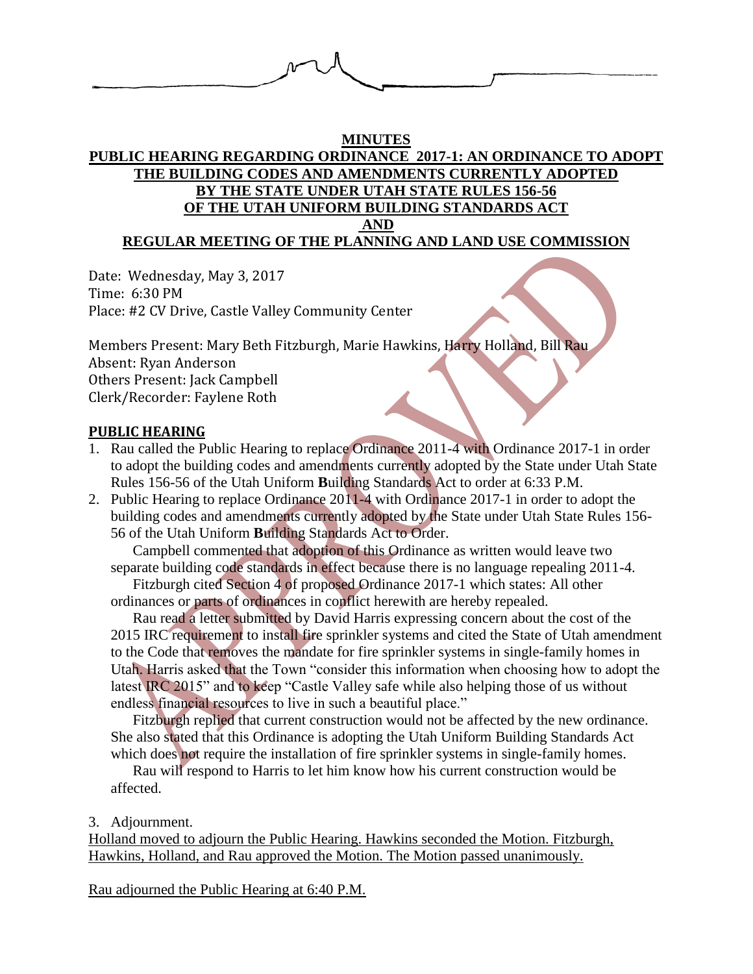

#### **MINUTES**

# **PUBLIC HEARING REGARDING ORDINANCE 2017-1: AN ORDINANCE TO ADOPT THE BUILDING CODES AND AMENDMENTS CURRENTLY ADOPTED BY THE STATE UNDER UTAH STATE RULES 156-56 OF THE UTAH UNIFORM BUILDING STANDARDS ACT AND**

# **REGULAR MEETING OF THE PLANNING AND LAND USE COMMISSION**

Date: Wednesday, May 3, 2017 Time: 6:30 PM Place: #2 CV Drive, Castle Valley Community Center

Members Present: Mary Beth Fitzburgh, Marie Hawkins, Harry Holland, Bill Rau Absent: Ryan Anderson Others Present: Jack Campbell Clerk/Recorder: Faylene Roth

# **PUBLIC HEARING**

- 1. Rau called the Public Hearing to replace Ordinance 2011-4 with Ordinance 2017-1 in order to adopt the building codes and amendments currently adopted by the State under Utah State Rules 156-56 of the Utah Uniform **B**uilding Standards Act to order at 6:33 P.M.
- 2. Public Hearing to replace Ordinance 2011-4 with Ordinance 2017-1 in order to adopt the building codes and amendments currently adopted by the State under Utah State Rules 156- 56 of the Utah Uniform **B**uilding Standards Act to Order.

Campbell commented that adoption of this Ordinance as written would leave two separate building code standards in effect because there is no language repealing 2011-4.

Fitzburgh cited Section 4 of proposed Ordinance 2017-1 which states: All other ordinances or parts of ordinances in conflict herewith are hereby repealed.

Rau read a letter submitted by David Harris expressing concern about the cost of the 2015 IRC requirement to install fire sprinkler systems and cited the State of Utah amendment to the Code that removes the mandate for fire sprinkler systems in single-family homes in Utah. Harris asked that the Town "consider this information when choosing how to adopt the latest IRC 2015" and to keep "Castle Valley safe while also helping those of us without endless financial resources to live in such a beautiful place."

Fitzburgh replied that current construction would not be affected by the new ordinance. She also stated that this Ordinance is adopting the Utah Uniform Building Standards Act which does not require the installation of fire sprinkler systems in single-family homes.

Rau will respond to Harris to let him know how his current construction would be affected.

### 3. Adjournment.

Holland moved to adjourn the Public Hearing. Hawkins seconded the Motion. Fitzburgh, Hawkins, Holland, and Rau approved the Motion. The Motion passed unanimously.

Rau adjourned the Public Hearing at 6:40 P.M.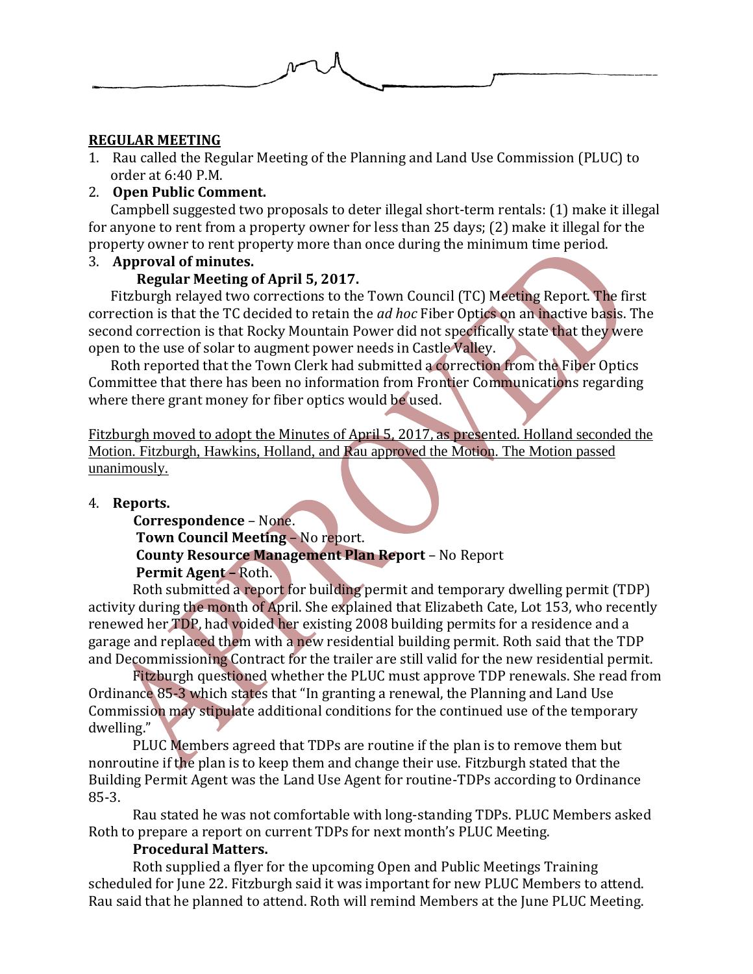

# **REGULAR MEETING**

1. Rau called the Regular Meeting of the Planning and Land Use Commission (PLUC) to order at 6:40 P.M.

# 2. **Open Public Comment.**

Campbell suggested two proposals to deter illegal short-term rentals: (1) make it illegal for anyone to rent from a property owner for less than 25 days; (2) make it illegal for the property owner to rent property more than once during the minimum time period.

3. **Approval of minutes.**

# **Regular Meeting of April 5, 2017.**

Fitzburgh relayed two corrections to the Town Council (TC) Meeting Report. The first correction is that the TC decided to retain the *ad hoc* Fiber Optics on an inactive basis. The second correction is that Rocky Mountain Power did not specifically state that they were open to the use of solar to augment power needs in Castle Valley.

Roth reported that the Town Clerk had submitted a correction from the Fiber Optics Committee that there has been no information from Frontier Communications regarding where there grant money for fiber optics would be used.

Fitzburgh moved to adopt the Minutes of April 5, 2017, as presented. Holland seconded the Motion. Fitzburgh, Hawkins, Holland, and Rau approved the Motion. The Motion passed unanimously.

### 4. **Reports.**

 **Correspondence** – None. **Town Council Meeting** – No report. **County Resource Management Plan Report** – No Report **Permit Agent –** Roth.

Roth submitted a report for building permit and temporary dwelling permit (TDP) activity during the month of April. She explained that Elizabeth Cate, Lot 153, who recently renewed her TDP, had voided her existing 2008 building permits for a residence and a garage and replaced them with a new residential building permit. Roth said that the TDP and Decommissioning Contract for the trailer are still valid for the new residential permit.

Fitzburgh questioned whether the PLUC must approve TDP renewals. She read from Ordinance 85-3 which states that "In granting a renewal, the Planning and Land Use Commission may stipulate additional conditions for the continued use of the temporary dwelling."

PLUC Members agreed that TDPs are routine if the plan is to remove them but nonroutine if the plan is to keep them and change their use. Fitzburgh stated that the Building Permit Agent was the Land Use Agent for routine-TDPs according to Ordinance 85-3.

Rau stated he was not comfortable with long-standing TDPs. PLUC Members asked Roth to prepare a report on current TDPs for next month's PLUC Meeting.

### **Procedural Matters.**

Roth supplied a flyer for the upcoming Open and Public Meetings Training scheduled for June 22. Fitzburgh said it was important for new PLUC Members to attend. Rau said that he planned to attend. Roth will remind Members at the June PLUC Meeting.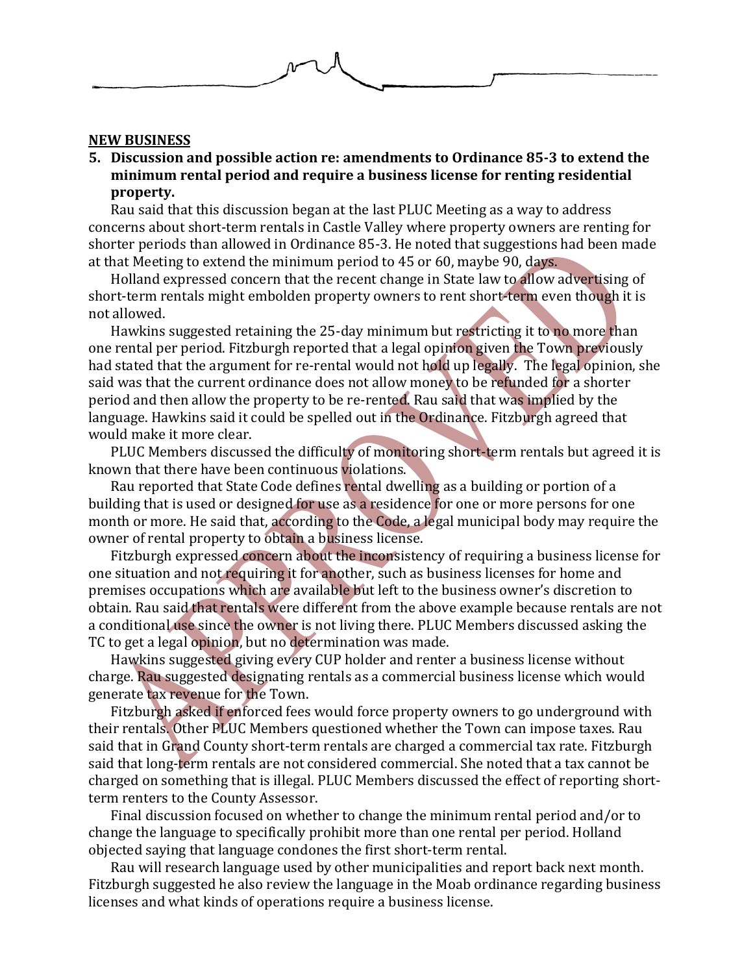

#### **NEW BUSINESS**

**5. Discussion and possible action re: amendments to Ordinance 85-3 to extend the minimum rental period and require a business license for renting residential property.**

Rau said that this discussion began at the last PLUC Meeting as a way to address concerns about short-term rentals in Castle Valley where property owners are renting for shorter periods than allowed in Ordinance 85-3. He noted that suggestions had been made at that Meeting to extend the minimum period to 45 or 60, maybe 90, days.

Holland expressed concern that the recent change in State law to allow advertising of short-term rentals might embolden property owners to rent short-term even though it is not allowed.

Hawkins suggested retaining the 25-day minimum but restricting it to no more than one rental per period. Fitzburgh reported that a legal opinion given the Town previously had stated that the argument for re-rental would not hold up legally. The legal opinion, she said was that the current ordinance does not allow money to be refunded for a shorter period and then allow the property to be re-rented. Rau said that was implied by the language. Hawkins said it could be spelled out in the Ordinance. Fitzburgh agreed that would make it more clear.

PLUC Members discussed the difficulty of monitoring short-term rentals but agreed it is known that there have been continuous violations.

Rau reported that State Code defines rental dwelling as a building or portion of a building that is used or designed for use as a residence for one or more persons for one month or more. He said that, according to the Code, a legal municipal body may require the owner of rental property to obtain a business license.

Fitzburgh expressed concern about the inconsistency of requiring a business license for one situation and not requiring it for another, such as business licenses for home and premises occupations which are available but left to the business owner's discretion to obtain. Rau said that rentals were different from the above example because rentals are not a conditional use since the owner is not living there. PLUC Members discussed asking the TC to get a legal opinion, but no determination was made.

Hawkins suggested giving every CUP holder and renter a business license without charge. Rau suggested designating rentals as a commercial business license which would generate tax revenue for the Town.

Fitzburgh asked if enforced fees would force property owners to go underground with their rentals. Other PLUC Members questioned whether the Town can impose taxes. Rau said that in Grand County short-term rentals are charged a commercial tax rate. Fitzburgh said that long-term rentals are not considered commercial. She noted that a tax cannot be charged on something that is illegal. PLUC Members discussed the effect of reporting shortterm renters to the County Assessor.

Final discussion focused on whether to change the minimum rental period and/or to change the language to specifically prohibit more than one rental per period. Holland objected saying that language condones the first short-term rental.

Rau will research language used by other municipalities and report back next month. Fitzburgh suggested he also review the language in the Moab ordinance regarding business licenses and what kinds of operations require a business license.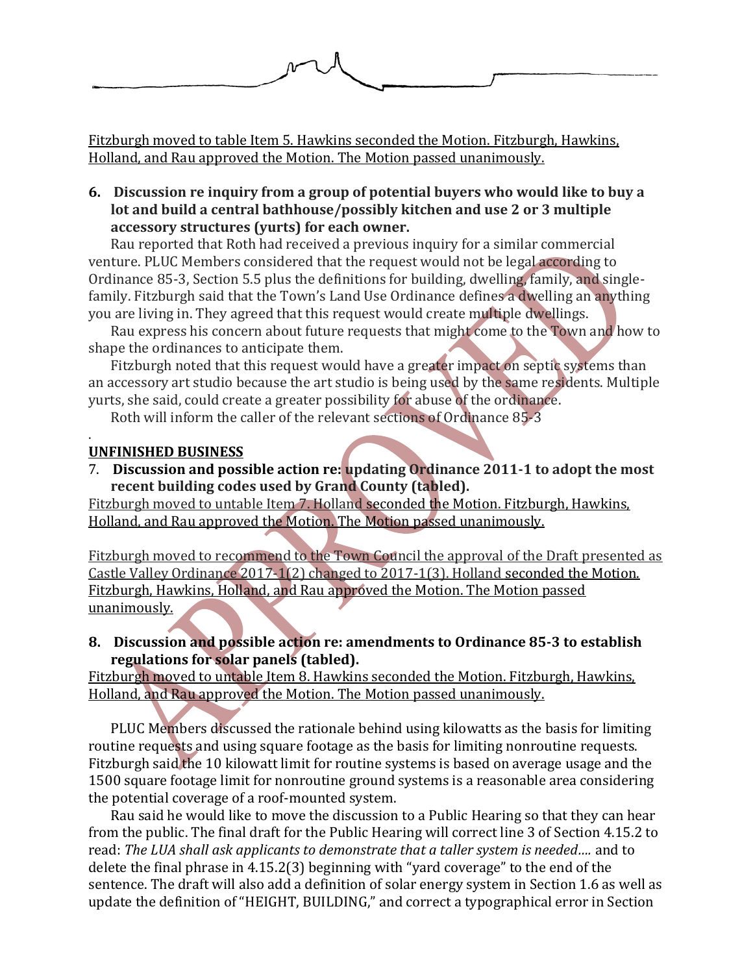

Fitzburgh moved to table Item 5. Hawkins seconded the Motion. Fitzburgh, Hawkins, Holland, and Rau approved the Motion. The Motion passed unanimously.

**6. Discussion re inquiry from a group of potential buyers who would like to buy a lot and build a central bathhouse/possibly kitchen and use 2 or 3 multiple accessory structures (yurts) for each owner.**

Rau reported that Roth had received a previous inquiry for a similar commercial venture. PLUC Members considered that the request would not be legal according to Ordinance 85-3, Section 5.5 plus the definitions for building, dwelling, family, and singlefamily. Fitzburgh said that the Town's Land Use Ordinance defines a dwelling an anything you are living in. They agreed that this request would create multiple dwellings.

Rau express his concern about future requests that might come to the Town and how to shape the ordinances to anticipate them.

Fitzburgh noted that this request would have a greater impact on septic systems than an accessory art studio because the art studio is being used by the same residents. Multiple yurts, she said, could create a greater possibility for abuse of the ordinance.

Roth will inform the caller of the relevant sections of Ordinance 85-3

#### . **UNFINISHED BUSINESS**

7. **Discussion and possible action re: updating Ordinance 2011-1 to adopt the most recent building codes used by Grand County (tabled).**

Fitzburgh moved to untable Item 7. Holland seconded the Motion. Fitzburgh, Hawkins, Holland, and Rau approved the Motion. The Motion passed unanimously.

Fitzburgh moved to recommend to the Town Council the approval of the Draft presented as Castle Valley Ordinance 2017-1(2) changed to 2017-1(3). Holland seconded the Motion. Fitzburgh, Hawkins, Holland, and Rau approved the Motion. The Motion passed unanimously.

**8. Discussion and possible action re: amendments to Ordinance 85-3 to establish regulations for solar panels (tabled).**

Fitzburgh moved to untable Item 8. Hawkins seconded the Motion. Fitzburgh, Hawkins, Holland, and Rau approved the Motion. The Motion passed unanimously.

PLUC Members discussed the rationale behind using kilowatts as the basis for limiting routine requests and using square footage as the basis for limiting nonroutine requests. Fitzburgh said the 10 kilowatt limit for routine systems is based on average usage and the 1500 square footage limit for nonroutine ground systems is a reasonable area considering the potential coverage of a roof-mounted system.

Rau said he would like to move the discussion to a Public Hearing so that they can hear from the public. The final draft for the Public Hearing will correct line 3 of Section 4.15.2 to read: *The LUA shall ask applicants to demonstrate that a taller system is needed….* and to delete the final phrase in 4.15.2(3) beginning with "yard coverage" to the end of the sentence. The draft will also add a definition of solar energy system in Section 1.6 as well as update the definition of "HEIGHT, BUILDING," and correct a typographical error in Section